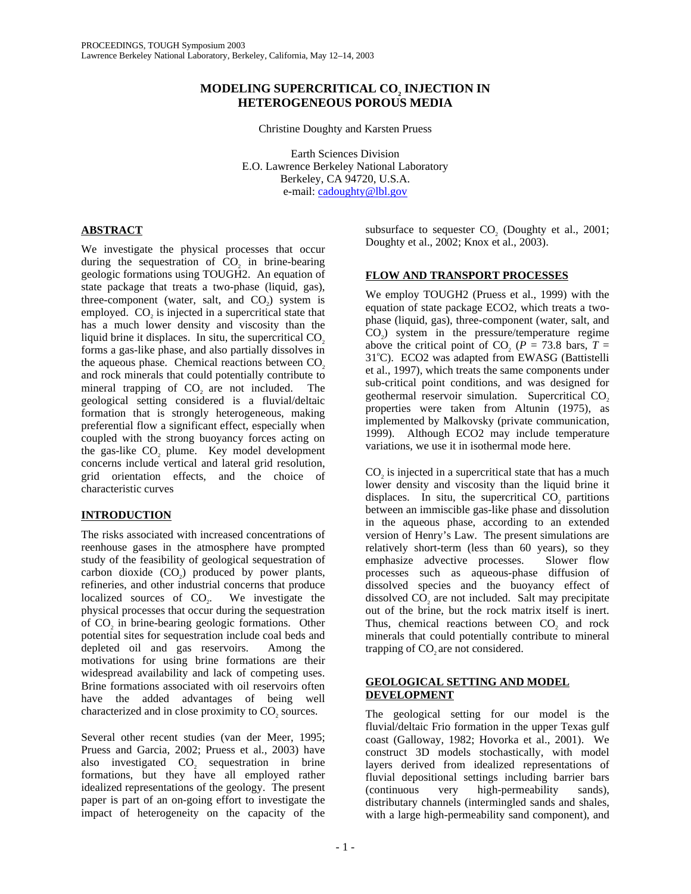# **MODELING SUPERCRITICAL CO2 INJECTION IN HETEROGENEOUS POROUS MEDIA**

Christine Doughty and Karsten Pruess

Earth Sciences Division E.O. Lawrence Berkeley National Laboratory Berkeley, CA 94720, U.S.A. e-mail: cadoughty@lbl.gov

# **ABSTRACT**

We investigate the physical processes that occur during the sequestration of  $CO<sub>2</sub>$  in brine-bearing geologic formations using TOUGH2. An equation of state package that treats a two-phase (liquid, gas), three-component (water, salt, and  $CO<sub>2</sub>$ ) system is employed. CO<sub>2</sub> is injected in a supercritical state that has a much lower density and viscosity than the liquid brine it displaces. In situ, the supercritical  $CO<sub>2</sub>$ forms a gas-like phase, and also partially dissolves in the aqueous phase. Chemical reactions between CO<sub>2</sub> and rock minerals that could potentially contribute to mineral trapping of CO<sub>2</sub> are not included. The geological setting considered is a fluvial/deltaic formation that is strongly heterogeneous, making preferential flow a significant effect, especially when coupled with the strong buoyancy forces acting on the gas-like CO<sub>2</sub> plume. Key model development concerns include vertical and lateral grid resolution, grid orientation effects, and the choice of characteristic curves

# **INTRODUCTION**

The risks associated with increased concentrations of reenhouse gases in the atmosphere have prompted study of the feasibility of geological sequestration of carbon dioxide  $(CO<sub>2</sub>)$  produced by power plants, refineries, and other industrial concerns that produce<br>localized sources of CO<sub>0</sub>. We investigate the localized sources of CO<sub>2</sub>. physical processes that occur during the sequestration of CO2 in brine-bearing geologic formations. Other potential sites for sequestration include coal beds and depleted oil and gas reservoirs. Among the motivations for using brine formations are their widespread availability and lack of competing uses. Brine formations associated with oil reservoirs often have the added advantages of being well characterized and in close proximity to CO<sub>2</sub> sources.

Several other recent studies (van der Meer, 1995; Pruess and Garcia, 2002; Pruess et al., 2003) have also investigated  $CO<sub>2</sub>$  sequestration in brine formations, but they have all employed rather idealized representations of the geology. The present paper is part of an on-going effort to investigate the impact of heterogeneity on the capacity of the

subsurface to sequester CO<sub>2</sub> (Doughty et al., 2001; Doughty et al., 2002; Knox et al., 2003).

# **FLOW AND TRANSPORT PROCESSES**

We employ TOUGH2 (Pruess et al., 1999) with the equation of state package ECO2, which treats a twophase (liquid, gas), three-component (water, salt, and  $CO<sub>2</sub>$ ) system in the pressure/temperature regime above the critical point of CO<sub>2</sub> ( $P = 73.8$  bars,  $T =$ 31°C). ECO2 was adapted from EWASG (Battistelli et al., 1997), which treats the same components under sub-critical point conditions, and was designed for geothermal reservoir simulation. Supercritical CO<sub>2</sub> properties were taken from Altunin (1975), as implemented by Malkovsky (private communication, 1999). Although ECO2 may include temperature variations, we use it in isothermal mode here.

CO<sub>2</sub> is injected in a supercritical state that has a much lower density and viscosity than the liquid brine it displaces. In situ, the supercritical  $CO<sub>z</sub>$  partitions between an immiscible gas-like phase and dissolution in the aqueous phase, according to an extended version of Henry's Law. The present simulations are relatively short-term (less than 60 years), so they emphasize advective processes. Slower flow processes such as aqueous-phase diffusion of dissolved species and the buoyancy effect of dissolved CO<sub>2</sub> are not included. Salt may precipitate out of the brine, but the rock matrix itself is inert. Thus, chemical reactions between CO<sub>2</sub> and rock minerals that could potentially contribute to mineral trapping of CO<sub>2</sub> are not considered.

## **GEOLOGICAL SETTING AND MODEL DEVELOPMENT**

The geological setting for our model is the fluvial/deltaic Frio formation in the upper Texas gulf coast (Galloway, 1982; Hovorka et al., 2001). We construct 3D models stochastically, with model layers derived from idealized representations of fluvial depositional settings including barrier bars (continuous very high-permeability sands), distributary channels (intermingled sands and shales, with a large high-permeability sand component), and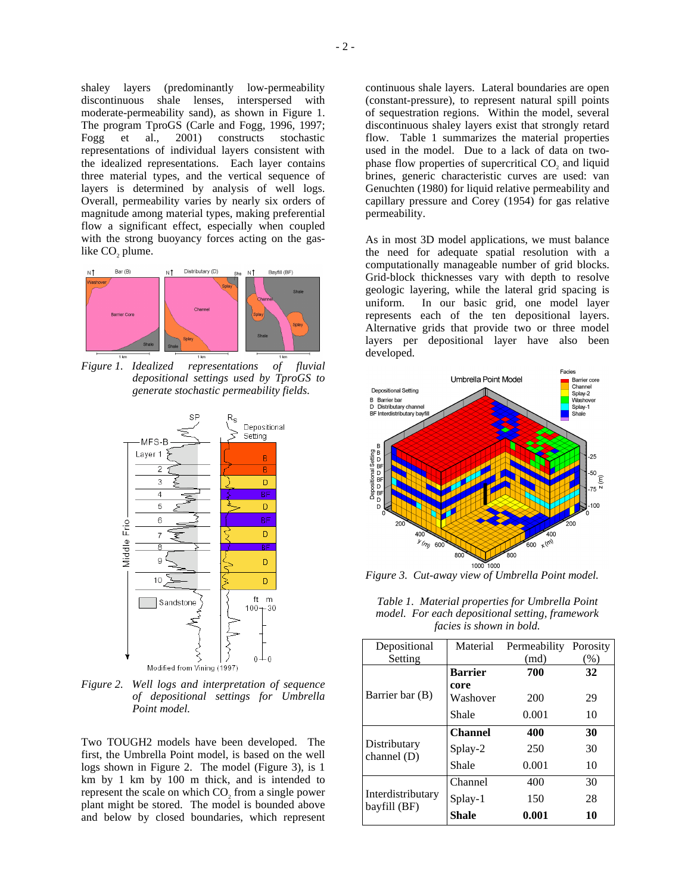shaley layers (predominantly low-permeability discontinuous shale lenses, interspersed with moderate-permeability sand), as shown in Figure 1. The program TproGS (Carle and Fogg, 1996, 1997; Fogg et al., 2001) constructs stochastic representations of individual layers consistent with the idealized representations. Each layer contains three material types, and the vertical sequence of layers is determined by analysis of well logs. Overall, permeability varies by nearly six orders of magnitude among material types, making preferential flow a significant effect, especially when coupled with the strong buoyancy forces acting on the gaslike CO<sub>2</sub> plume.



*Figure 1. Idealized representations of fluvial depositional settings used by TproGS to generate stochastic permeability fields.* 



*Figure 2. Well logs and interpretation of sequence of depositional settings for Umbrella Point model.* 

Two TOUGH2 models have been developed. The first, the Umbrella Point model, is based on the well logs shown in Figure 2. The model (Figure 3), is 1 km by 1 km by 100 m thick, and is intended to represent the scale on which CO<sub>2</sub> from a single power plant might be stored. The model is bounded above and below by closed boundaries, which represent continuous shale layers. Lateral boundaries are open (constant-pressure), to represent natural spill points of sequestration regions. Within the model, several discontinuous shaley layers exist that strongly retard flow. Table 1 summarizes the material properties used in the model. Due to a lack of data on twophase flow properties of supercritical CO<sub>2</sub> and liquid brines, generic characteristic curves are used: van Genuchten (1980) for liquid relative permeability and capillary pressure and Corey (1954) for gas relative permeability.

As in most 3D model applications, we must balance the need for adequate spatial resolution with a computationally manageable number of grid blocks. Grid-block thicknesses vary with depth to resolve geologic layering, while the lateral grid spacing is uniform. In our basic grid, one model layer represents each of the ten depositional layers. Alternative grids that provide two or three model layers per depositional layer have also been developed.



*Figure 3. Cut-away view of Umbrella Point model.* 

*Table 1. Material properties for Umbrella Point model. For each depositional setting, framework facies is shown in bold.* 

| Depositional                      | Material       | Permeability Porosity |      |
|-----------------------------------|----------------|-----------------------|------|
| Setting                           |                | (md)                  | (% ) |
| Barrier bar (B)                   | <b>Barrier</b> | 700                   | 32   |
|                                   | core           |                       |      |
|                                   | Washover       | 200                   | 29   |
|                                   | Shale          | 0.001                 | 10   |
| Distributary<br>channel $(D)$     | <b>Channel</b> | 400                   | 30   |
|                                   | Splay-2        | 250                   | 30   |
|                                   | Shale          | 0.001                 | 10   |
| Interdistributary<br>bayfill (BF) | Channel        | 400                   | 30   |
|                                   | Splay-1        | 150                   | 28   |
|                                   | Shale          | 0.001                 | 10   |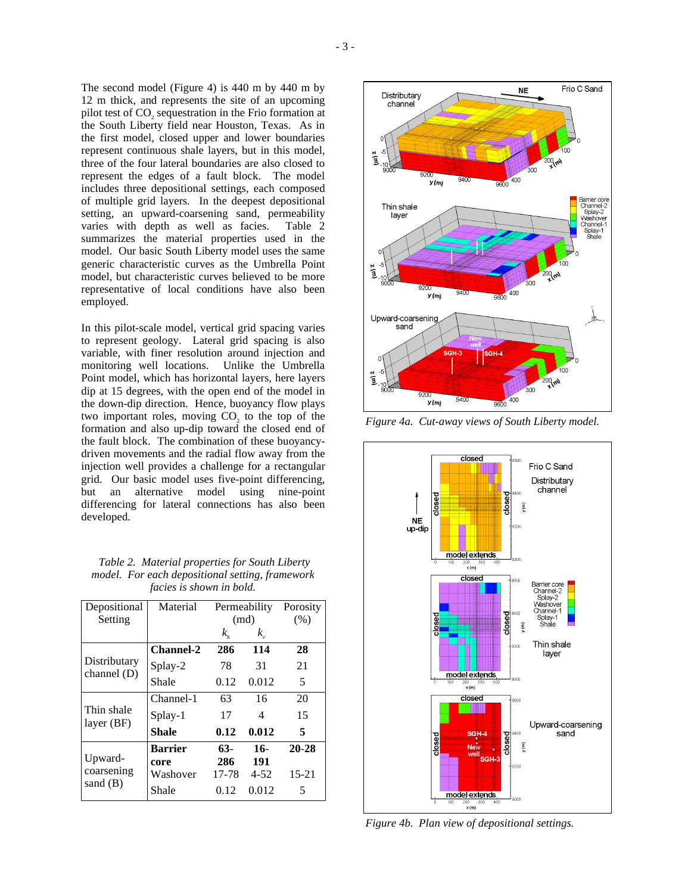The second model (Figure 4) is 440 m by 440 m by 12 m thick, and represents the site of an upcoming pilot test of CO<sub>2</sub> sequestration in the Frio formation at the South Liberty field near Houston, Texas. As in the first model, closed upper and lower boundaries represent continuous shale layers, but in this model, three of the four lateral boundaries are also closed to represent the edges of a fault block. The model includes three depositional settings, each composed of multiple grid layers. In the deepest depositional setting, an upward-coarsening sand, permeability varies with depth as well as facies. Table 2 summarizes the material properties used in the model. Our basic South Liberty model uses the same generic characteristic curves as the Umbrella Point model, but characteristic curves believed to be more representative of local conditions have also been employed.

In this pilot-scale model, vertical grid spacing varies to represent geology. Lateral grid spacing is also variable, with finer resolution around injection and monitoring well locations. Point model, which has horizontal layers, here layers dip at 15 degrees, with the open end of the model in the down-dip direction. Hence, buoyancy flow plays two important roles, moving CO<sub>2</sub> to the top of the formation and also up-dip toward the closed end of the fault block. The combination of these buoyancydriven movements and the radial flow away from the injection well provides a challenge for a rectangular grid. Our basic model uses five-point differencing, but an alternative model using nine-point differencing for lateral connections has also been developed.

 *Table 2. Material properties for South Liberty model. For each depositional setting, framework facies is shown in bold.* 

| Depositional<br>Setting           | Material               | Permeability<br>(md) |              | Porosity<br>(% ) |
|-----------------------------------|------------------------|----------------------|--------------|------------------|
|                                   |                        | $k_{h}$              | $k_{\cdot}$  |                  |
| Distributary<br>channel $(D)$     | <b>Channel-2</b>       | 286                  | 114          | 28               |
|                                   | Splay-2                | 78                   | 31           | 21               |
|                                   | Shale                  | 0.12                 | 0.012        | 5                |
| Thin shale<br>layer $(BF)$        | Channel-1              | 63                   | 16           | 20               |
|                                   | Splay-1                | 17                   | 4            | 15               |
|                                   | Shale                  | 0.12                 | 0.012        | 5                |
| Upward-<br>coarsening<br>sand (B) | <b>Barrier</b><br>core | $63-$<br>286         | $16-$<br>191 | $20 - 28$        |
|                                   | Washover               | 17-78                | $4 - 52$     | $15 - 21$        |
|                                   | Shale                  | 0.12                 | 0.012        | 5                |



*Figure 4a. Cut-away views of South Liberty model.* 



*Figure 4b. Plan view of depositional settings.*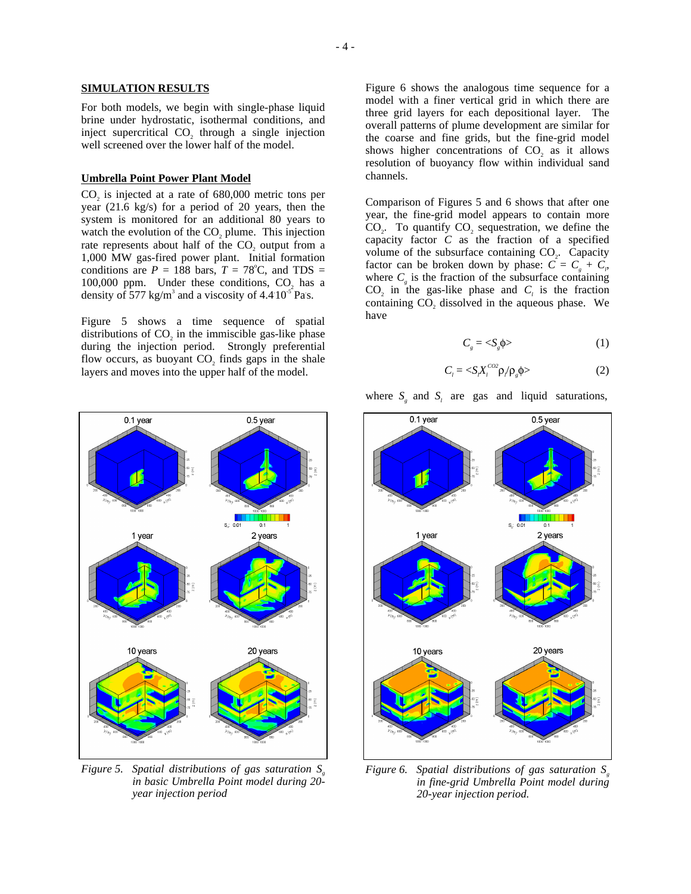#### **SIMULATION RESULTS**

For both models, we begin with single-phase liquid brine under hydrostatic, isothermal conditions, and inject supercritical CO<sub>2</sub> through a single injection well screened over the lower half of the model.

#### **Umbrella Point Power Plant Model**

 $CO<sub>2</sub>$  is injected at a rate of  $680,000$  metric tons per year (21.6 kg/s) for a period of 20 years, then the system is monitored for an additional 80 years to watch the evolution of the  $CO<sub>2</sub>$  plume. This injection rate represents about half of the CO<sub>2</sub> output from a 1,000 MW gas-fired power plant. Initial formation conditions are  $P = 188$  bars,  $T = 78^{\circ}$ C, and TDS =  $100,000$  ppm. Under these conditions, CO<sub>2</sub> has a density of 577 kg/m<sup>3</sup> and a viscosity of  $4.410^{5}$  Pas.

Figure 5 shows a time sequence of spatial distributions of  $CO<sub>2</sub>$  in the immiscible gas-like phase during the injection period. Strongly preferential flow occurs, as buoyant CO<sub>2</sub> finds gaps in the shale layers and moves into the upper half of the model.

0.1 year  $0.5$  year  $\frac{1}{0.1}$  $S_{ab}$  $0.0<sub>1</sub>$ 1 year 2 years 10 years 20 years

*Figure 5. Spatial distributions of gas saturation S in basic Umbrella Point model during 20 year injection period* 

Figure 6 shows the analogous time sequence for a model with a finer vertical grid in which there are three grid layers for each depositional layer. The overall patterns of plume development are similar for the coarse and fine grids, but the fine-grid model shows higher concentrations of  $CO<sub>2</sub>$  as it allows resolution of buoyancy flow within individual sand channels.

Comparison of Figures 5 and 6 shows that after one year, the fine-grid model appears to contain more CO<sub>2</sub>. To quantify CO<sub>2</sub> sequestration, we define the capacity factor *C* as the fraction of a specified volume of the subsurface containing  $CO<sub>2</sub>$ . Capacity factor can be broken down by phase:  $C = C<sub>g</sub> + C<sub>p</sub>$ where  $C_{\varphi}$  is the fraction of the subsurface containing  $CO<sub>2</sub>$  in the gas-like phase and  $C<sub>1</sub>$  is the fraction containing CO<sub>2</sub> dissolved in the aqueous phase. We have

$$
C_{s} = \langle S_{s} \phi \rangle \tag{1}
$$

$$
C_i = \langle S_i X_i^{co2} \rho / \rho_g \phi \rangle \tag{2}
$$



*Figure 6. Spatial distributions of gas saturation S<sub>i</sub> in fine-grid Umbrella Point model during 20-year injection period.*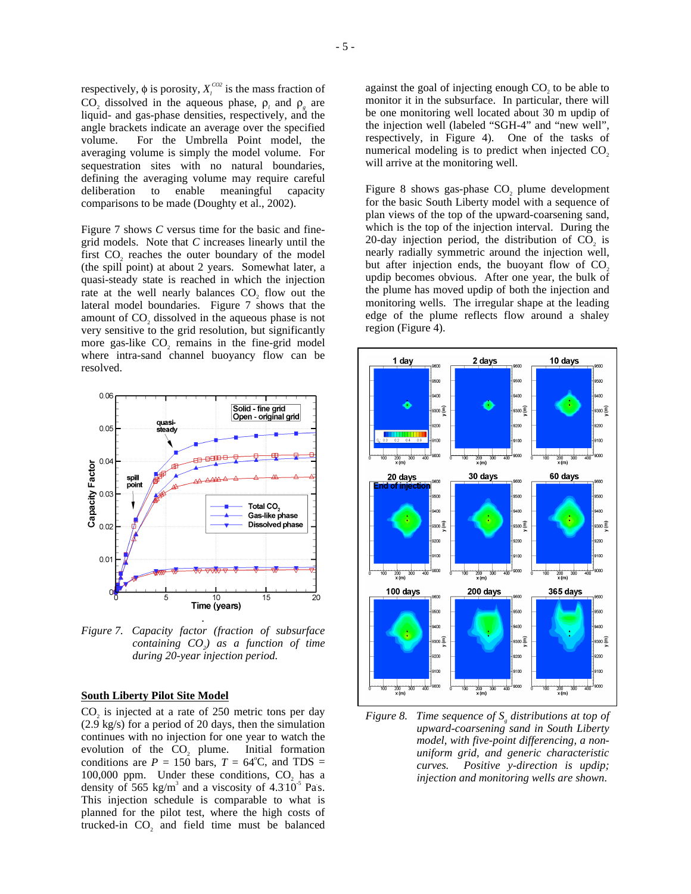respectively,  $\phi$  is porosity,  $X_i^{CO2}$  is the mass fraction of  $CO_2$  dissolved in the aqueous phase,  $\rho_l$  and  $\rho_g$  are liquid- and gas-phase densities, respectively, and the angle brackets indicate an average over the specified volume. For the Umbrella Point model, the averaging volume is simply the model volume. For sequestration sites with no natural boundaries, defining the averaging volume may require careful deliberation to enable meaningful capacity comparisons to be made (Doughty et al., 2002).

Figure 7 shows *C* versus time for the basic and finegrid models. Note that *C* increases linearly until the first CO<sub>2</sub> reaches the outer boundary of the model (the spill point) at about 2 years. Somewhat later, a quasi-steady state is reached in which the injection rate at the well nearly balances CO<sub>2</sub> flow out the lateral model boundaries. Figure 7 shows that the amount of CO<sub>2</sub> dissolved in the aqueous phase is not very sensitive to the grid resolution, but significantly more gas-like CO<sub>2</sub> remains in the fine-grid model where intra-sand channel buoyancy flow can be resolved.



*Figure 7. Capacity factor (fraction of subsurface containing CO<sub>2</sub> as a function of time during 20-year injection period.* 

### **South Liberty Pilot Site Model**

 $CO<sub>2</sub>$  is injected at a rate of  $250$  metric tons per day (2.9 kg/s) for a period of 20 days, then the simulation continues with no injection for one year to watch the evolution of the CO<sub>2</sub> plume. Initial formation conditions are  $P = 150$  bars,  $T = 64^{\circ}$ C, and TDS = 100,000 ppm. Under these conditions, CO<sub>2</sub> has a density of 565 kg/m<sup>3</sup> and a viscosity of  $4.310^{5}$  Pas. This injection schedule is comparable to what is planned for the pilot test, where the high costs of trucked-in CO<sub>2</sub> and field time must be balanced

against the goal of injecting enough CO<sub>2</sub> to be able to monitor it in the subsurface. In particular, there will be one monitoring well located about 30 m updip of the injection well (labeled "SGH-4" and "new well", respectively, in Figure 4). One of the tasks of numerical modeling is to predict when injected  $CO<sub>2</sub>$ . will arrive at the monitoring well.

Figure 8 shows gas-phase  $CO<sub>z</sub>$  plume development for the basic South Liberty model with a sequence of plan views of the top of the upward-coarsening sand, which is the top of the injection interval. During the 20-day injection period, the distribution of CO<sub>2</sub> is nearly radially symmetric around the injection well, but after injection ends, the buoyant flow of  $CO<sub>2</sub>$ updip becomes obvious. After one year, the bulk of the plume has moved updip of both the injection and monitoring wells. The irregular shape at the leading edge of the plume reflects flow around a shaley region (Figure 4).



*Figure 8. Time sequence of S<sub>s</sub> distributions at top of upward-coarsening sand in South Liberty model, with five-point differencing, a nonuniform grid, and generic characteristic curves. Positive y-direction is updip; injection and monitoring wells are shown.*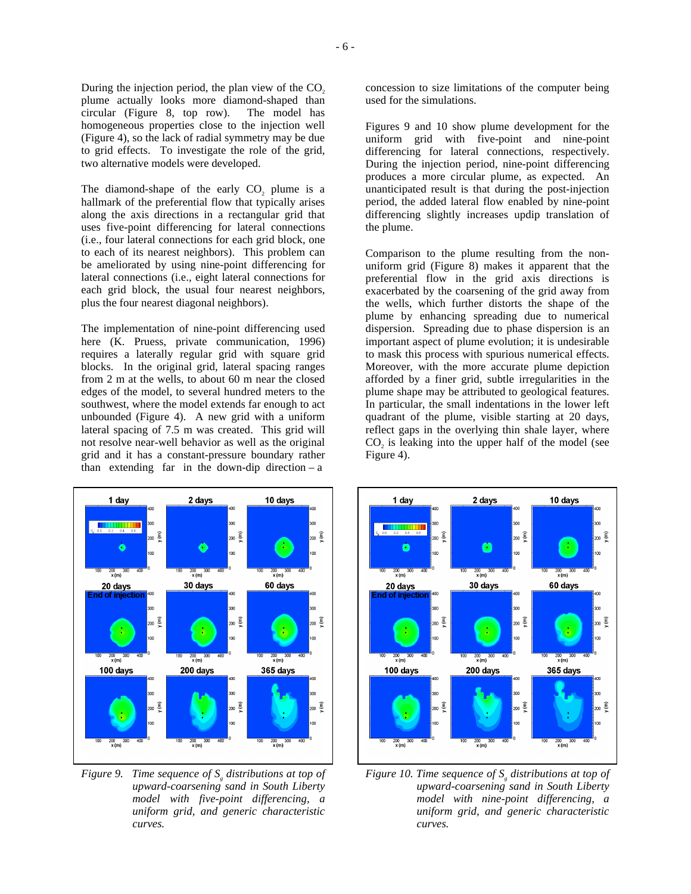The diamond-shape of the early CO<sub>2</sub> plume is a hallmark of the preferential flow that typically arises along the axis directions in a rectangular grid that uses five-point differencing for lateral connections (i.e., four lateral connections for each grid block, one to each of its nearest neighbors). This problem can be ameliorated by using nine-point differencing for lateral connections (i.e., eight lateral connections for each grid block, the usual four nearest neighbors, plus the four nearest diagonal neighbors).

The implementation of nine-point differencing used here (K. Pruess, private communication, 1996) requires a laterally regular grid with square grid blocks. In the original grid, lateral spacing ranges from 2 m at the wells, to about 60 m near the closed edges of the model, to several hundred meters to the southwest, where the model extends far enough to act unbounded (Figure 4). A new grid with a uniform lateral spacing of 7.5 m was created. This grid will not resolve near-well behavior as well as the original grid and it has a constant-pressure boundary rather than extending far in the down-dip direction  $-a$ 



*Figure 9. Time sequence of S<sub>s</sub> distributions at top of upward-coarsening sand in South Liberty model with five-point differencing, a uniform grid, and generic characteristic curves.* 

concession to size limitations of the computer being used for the simulations.

Figures 9 and 10 show plume development for the uniform grid with five-point and nine-point differencing for lateral connections, respectively. During the injection period, nine-point differencing produces a more circular plume, as expected. An unanticipated result is that during the post-injection period, the added lateral flow enabled by nine-point differencing slightly increases updip translation of the plume.

Comparison to the plume resulting from the nonuniform grid (Figure 8) makes it apparent that the preferential flow in the grid axis directions is exacerbated by the coarsening of the grid away from the wells, which further distorts the shape of the plume by enhancing spreading due to numerical dispersion. Spreading due to phase dispersion is an important aspect of plume evolution; it is undesirable to mask this process with spurious numerical effects. Moreover, with the more accurate plume depiction afforded by a finer grid, subtle irregularities in the plume shape may be attributed to geological features. In particular, the small indentations in the lower left quadrant of the plume, visible starting at 20 days, reflect gaps in the overlying thin shale layer, where CO<sub>2</sub> is leaking into the upper half of the model (see Figure 4).



*Figure 10. Time sequence of*  $S<sub>g</sub>$  *distributions at top of upward-coarsening sand in South Liberty model with nine-point differencing, a uniform grid, and generic characteristic curves.*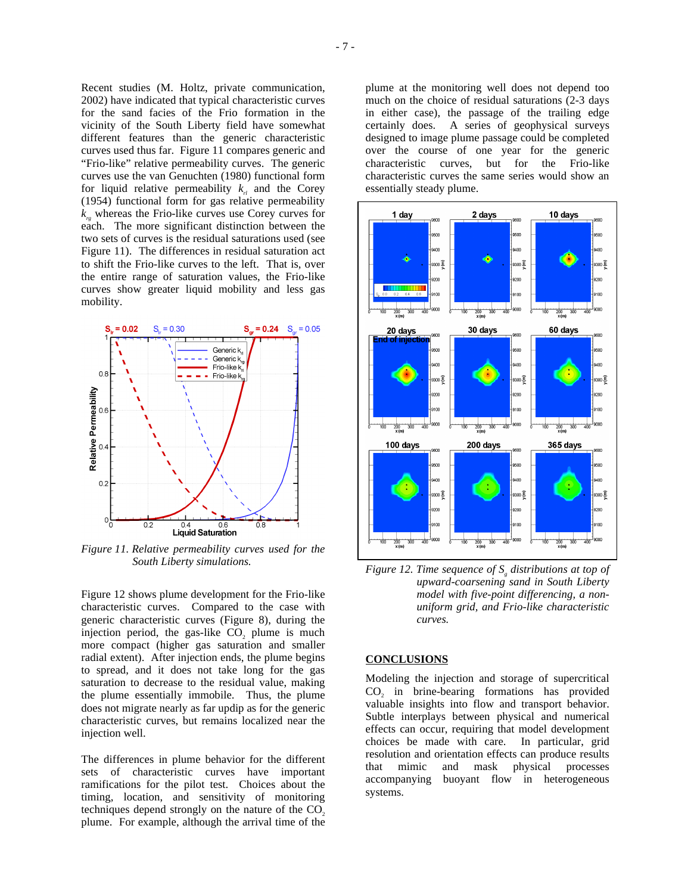Recent studies (M. Holtz, private communication, 2002) have indicated that typical characteristic curves for the sand facies of the Frio formation in the vicinity of the South Liberty field have somewhat different features than the generic characteristic curves used thus far. Figure 11 compares generic and "Frio-like" relative permeability curves. The generic curves use the van Genuchten (1980) functional form for liquid relative permeability  $k_{r}$  and the Corey (1954) functional form for gas relative permeability  $k<sub>n</sub>$  whereas the Frio-like curves use Corey curves for each. The more significant distinction between the two sets of curves is the residual saturations used (see Figure 11). The differences in residual saturation act to shift the Frio-like curves to the left. That is, over the entire range of saturation values, the Frio-like curves show greater liquid mobility and less gas mobility.



*Figure 11. Relative permeability curves used for the South Liberty simulations.* 

Figure 12 shows plume development for the Frio-like characteristic curves. Compared to the case with generic characteristic curves (Figure 8), during the injection period, the gas-like  $CO<sub>2</sub>$  plume is much more compact (higher gas saturation and smaller radial extent). After injection ends, the plume begins to spread, and it does not take long for the gas saturation to decrease to the residual value, making the plume essentially immobile. Thus, the plume does not migrate nearly as far updip as for the generic characteristic curves, but remains localized near the injection well.

The differences in plume behavior for the different sets of characteristic curves have important ramifications for the pilot test. Choices about the timing, location, and sensitivity of monitoring techniques depend strongly on the nature of the  $CO<sub>2</sub>$ plume. For example, although the arrival time of the plume at the monitoring well does not depend too much on the choice of residual saturations (2-3 days in either case), the passage of the trailing edge certainly does. A series of geophysical surveys designed to image plume passage could be completed over the course of one year for the generic characteristic curves, but for the Frio-like characteristic curves the same series would show an essentially steady plume.



*Figure 12. Time sequence of S<sub>s</sub> distributions at top of upward-coarsening sand in South Liberty model with five-point differencing, a nonuniform grid, and Frio-like characteristic curves.* 

#### **CONCLUSIONS**

Modeling the injection and storage of supercritical CO<sub>2</sub> in brine-bearing formations has provided valuable insights into flow and transport behavior. Subtle interplays between physical and numerical effects can occur, requiring that model development choices be made with care. In particular, grid resolution and orientation effects can produce results that mimic and mask physical processes accompanying buoyant flow in heterogeneous systems.